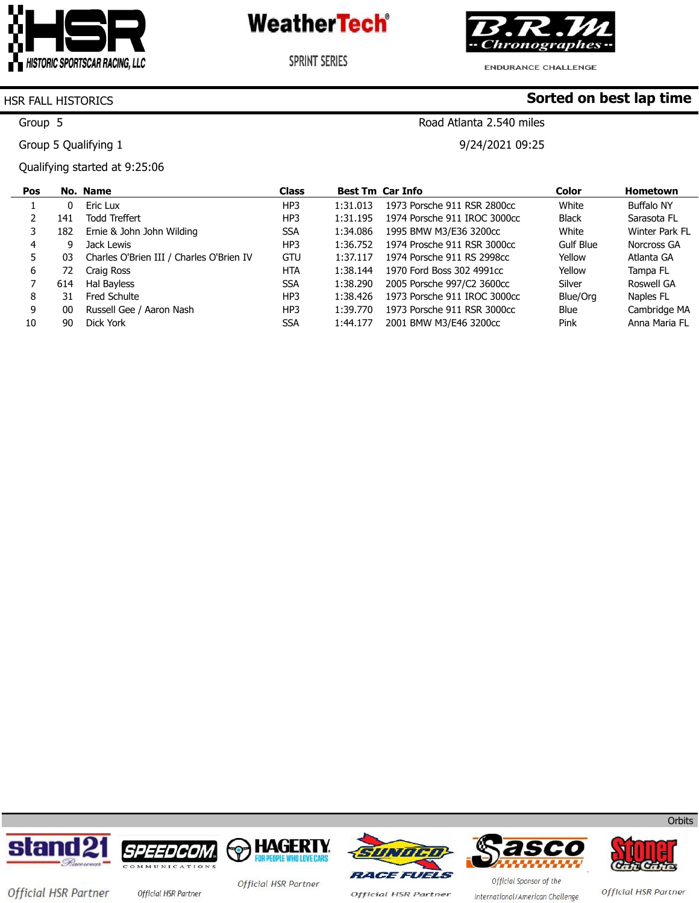

**SPRINT SERIES** 



ENDURANCE CHALLENGE

Road Atlanta 2.540 miles

9/24/2021 09:25

**Sorted on best lap time**

### HSR FALL HISTORICS

Group 5

Group 5 Qualifying 1

Qualifying started at 9:25:06

| Pos |     | No. Name                                 | <b>Class</b>    |          | <b>Best Tm Car Info</b>      | <b>Color</b> | <b>Hometown</b>   |
|-----|-----|------------------------------------------|-----------------|----------|------------------------------|--------------|-------------------|
|     |     | Eric Lux                                 | HP3             | 1:31.013 | 1973 Porsche 911 RSR 2800cc  | White        | <b>Buffalo NY</b> |
|     | 141 | Todd Treffert                            | HP3             | 1:31.195 | 1974 Porsche 911 IROC 3000cc | <b>Black</b> | Sarasota FL       |
| 3   | 182 | Ernie & John John Wilding                | <b>SSA</b>      | 1:34.086 | 1995 BMW M3/E36 3200cc       | White        | Winter Park FL    |
| 4   | q   | Jack Lewis                               | HP3             | 1:36.752 | 1974 Prosche 911 RSR 3000cc  | Gulf Blue    | Norcross GA       |
| 5.  | 03  | Charles O'Brien III / Charles O'Brien IV | <b>GTU</b>      | 1:37.117 | 1974 Porsche 911 RS 2998cc   | Yellow       | Atlanta GA        |
| 6   | 72  | Craig Ross                               | <b>HTA</b>      | 1:38.144 | 1970 Ford Boss 302 4991cc    | Yellow       | Tampa FL          |
|     | 614 | Hal Bayless                              | <b>SSA</b>      | 1:38.290 | 2005 Porsche 997/C2 3600cc   | Silver       | Roswell GA        |
| 8   | 31. | Fred Schulte                             | HP3             | 1:38.426 | 1973 Porsche 911 IROC 3000cc | Blue/Org     | Naples FL         |
| 9   | 00  | Russell Gee / Aaron Nash                 | HP <sub>3</sub> | 1:39.770 | 1973 Porsche 911 RSR 3000cc  | Blue         | Cambridge MA      |
| 10  | 90  | Dick York                                | <b>SSA</b>      | 1:44.177 | 2001 BMW M3/E46 3200cc       | Pink         | Anna Maria FL     |









**Official HSR Partner** 





Official HSR Partner

**Orbits** 

Official HSR Partner

International/American Challenge

Official Sponsor of the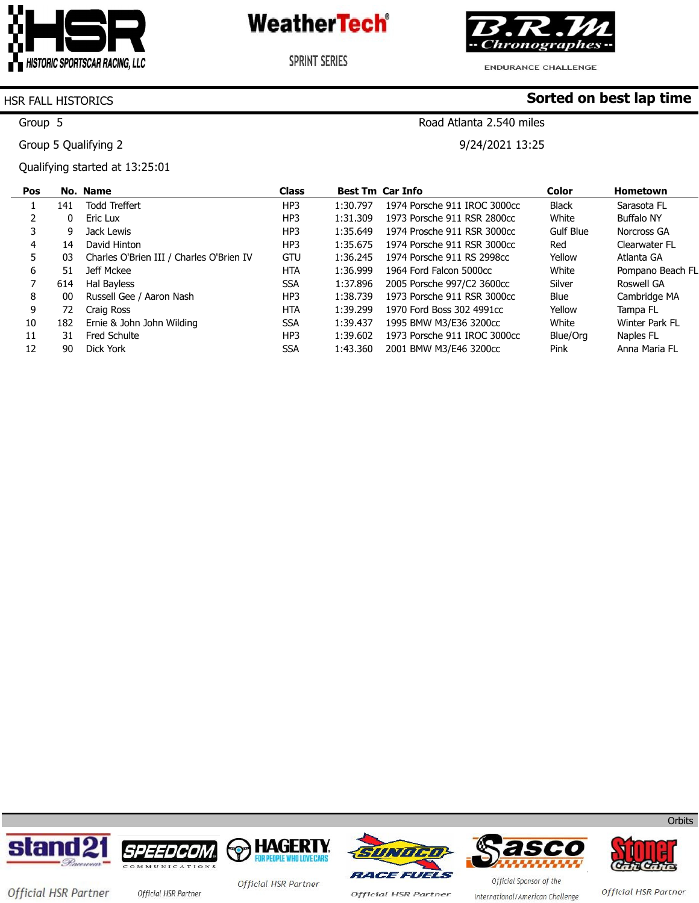

**SPRINT SERIES** 



ENDURANCE CHALLENGE

Road Atlanta 2.540 miles

9/24/2021 13:25

**Sorted on best lap time**

#### HSR FALL HISTORICS

Group 5

Group 5 Qualifying 2

Qualifying started at 13:25:01

| <b>Pos</b> |     | No. Name                                 | <b>Class</b>    |          | <b>Best Tm Car Info</b>      | <b>Color</b> | Hometown          |
|------------|-----|------------------------------------------|-----------------|----------|------------------------------|--------------|-------------------|
|            | 141 | <b>Todd Treffert</b>                     | HP3             | 1:30.797 | 1974 Porsche 911 IROC 3000cc | <b>Black</b> | Sarasota FL       |
|            | 0   | Eric Lux                                 | HP3             | 1:31.309 | 1973 Porsche 911 RSR 2800cc  | White        | <b>Buffalo NY</b> |
|            | 9   | Jack Lewis                               | HP3             | 1:35.649 | 1974 Prosche 911 RSR 3000cc  | Gulf Blue    | Norcross GA       |
| 4          | 14  | David Hinton                             | HP <sub>3</sub> | 1:35.675 | 1974 Porsche 911 RSR 3000cc  | Red          | Clearwater FL     |
| 5.         | 03  | Charles O'Brien III / Charles O'Brien IV | GTU             | 1:36.245 | 1974 Porsche 911 RS 2998cc   | Yellow       | Atlanta GA        |
| 6          | 51  | Jeff Mckee                               | <b>HTA</b>      | 1:36.999 | 1964 Ford Falcon 5000cc      | White        | Pompano Beach FL  |
|            | 614 | Hal Bayless                              | <b>SSA</b>      | 1:37.896 | 2005 Porsche 997/C2 3600cc   | Silver       | Roswell GA        |
| 8          | 00  | Russell Gee / Aaron Nash                 | HP3             | 1:38.739 | 1973 Porsche 911 RSR 3000cc  | Blue         | Cambridge MA      |
| 9          | 72  | Craig Ross                               | <b>HTA</b>      | 1:39.299 | 1970 Ford Boss 302 4991cc    | Yellow       | Tampa FL          |
| 10         | 182 | Ernie & John John Wilding                | <b>SSA</b>      | 1:39.437 | 1995 BMW M3/E36 3200cc       | White        | Winter Park FL    |
| 11         | 31  | <b>Fred Schulte</b>                      | HP3             | 1:39.602 | 1973 Porsche 911 IROC 3000cc | Blue/Ora     | Naples FL         |
| 12         | 90  | Dick York                                | <b>SSA</b>      | 1:43.360 | 2001 BMW M3/E46 3200cc       | Pink         | Anna Maria FL     |













**Orbits** 

Official HSR Partner official HSR Partner

Official HSR Partner

**Official HSR Partner** 

Official Sponsor of the International/American Challenge

Official HSR Partner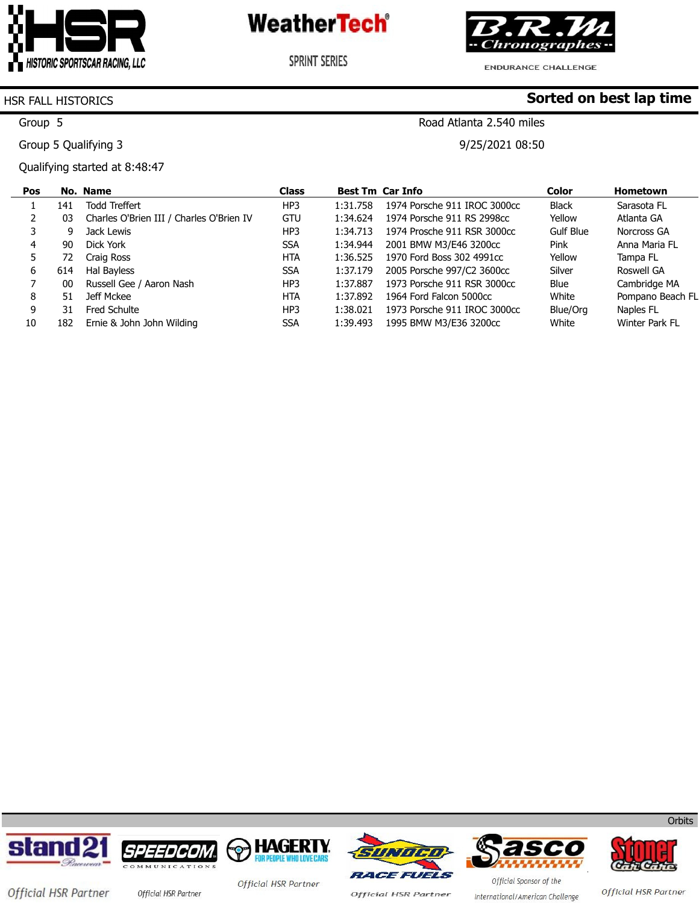

**SPRINT SERIES** 



ENDURANCE CHALLENGE

Road Atlanta 2.540 miles

9/25/2021 08:50

**Sorted on best lap time**

#### HSR FALL HISTORICS

Group 5

Group 5 Qualifying 3

Qualifying started at 8:48:47

| Pos |     | No. Name                                 | Class      |          | <b>Best Tm Car Info</b>      | <b>Color</b> | <b>Hometown</b>  |
|-----|-----|------------------------------------------|------------|----------|------------------------------|--------------|------------------|
|     | 141 | Todd Treffert                            | HP3        | 1:31.758 | 1974 Porsche 911 IROC 3000cc | <b>Black</b> | Sarasota FL      |
|     | 03  | Charles O'Brien III / Charles O'Brien IV | GTU        | 1:34.624 | 1974 Porsche 911 RS 2998cc   | Yellow       | Atlanta GA       |
|     | 9   | Jack Lewis                               | HP3        | 1:34.713 | 1974 Prosche 911 RSR 3000cc  | Gulf Blue    | Norcross GA      |
| 4   | 90  | Dick York                                | <b>SSA</b> | 1:34.944 | 2001 BMW M3/E46 3200cc       | Pink         | Anna Maria FL    |
|     | 72  | Craig Ross                               | <b>HTA</b> | 1:36.525 | 1970 Ford Boss 302 4991cc    | Yellow       | Tampa FL         |
| 6   | 614 | Hal Bayless                              | <b>SSA</b> | 1:37.179 | 2005 Porsche 997/C2 3600cc   | Silver       | Roswell GA       |
|     | 00  | Russell Gee / Aaron Nash                 | HP3        | 1:37.887 | 1973 Porsche 911 RSR 3000cc  | Blue         | Cambridge MA     |
| 8   | 51  | Jeff Mckee                               | <b>HTA</b> | 1:37.892 | 1964 Ford Falcon 5000cc      | White        | Pompano Beach FL |
| 9   | 31  | Fred Schulte                             | HP3        | 1:38.021 | 1973 Porsche 911 IROC 3000cc | Blue/Org     | Naples FL        |
| 10  | 182 | Ernie & John John Wilding                | <b>SSA</b> | 1:39.493 | 1995 BMW M3/E36 3200cc       | White        | Winter Park FL   |









**Official HSR Partner** 

WWW.W Official Sponsor of the



**Orbits** 

Official HSR Partner

Official HSR Partner

International/American Challenge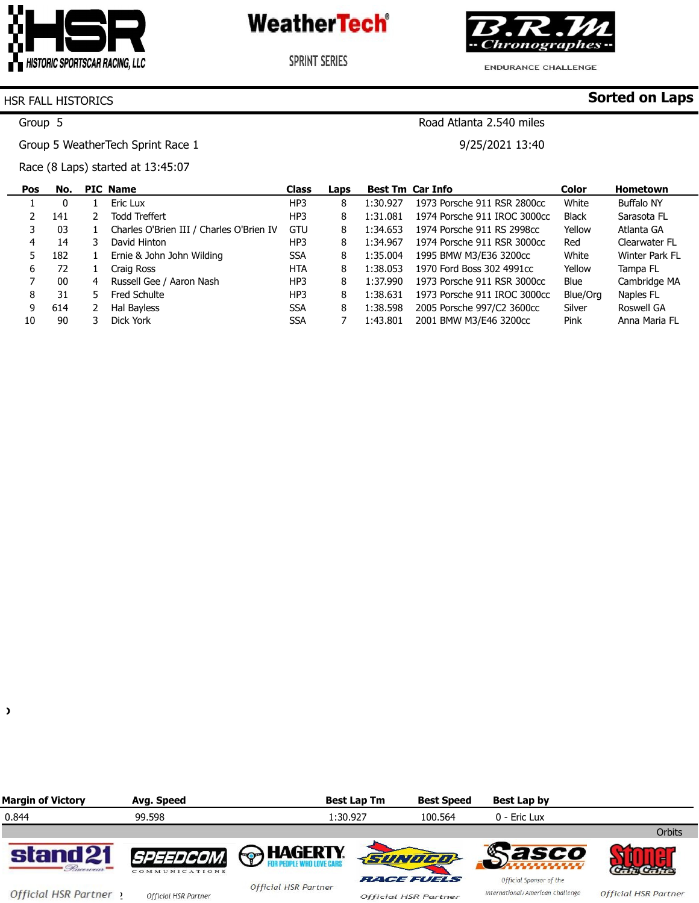

**SPRINT SERIES** 



**Sorted on Laps**

**ENDURANCE CHALLENGE** 

Road Atlanta 2.540 miles

9/25/2021 13:40

### HSR FALL HISTORICS

Group 5

Group 5 WeatherTech Sprint Race 1

Race (8 Laps) started at 13:45:07

| Pos | No. |    | <b>PIC Name</b>                          | <b>Class</b> | Laps |          | <b>Best Tm Car Info</b>      | Color        | Hometown       |
|-----|-----|----|------------------------------------------|--------------|------|----------|------------------------------|--------------|----------------|
|     | 0   |    | Eric Lux                                 | HP3          | 8    | 1:30.927 | 1973 Porsche 911 RSR 2800cc  | White        | Buffalo NY     |
|     | 141 |    | <b>Todd Treffert</b>                     | HP3          | 8    | 1:31.081 | 1974 Porsche 911 IROC 3000cc | <b>Black</b> | Sarasota FL    |
|     | 03  |    | Charles O'Brien III / Charles O'Brien IV | <b>GTU</b>   | 8    | 1:34.653 | 1974 Porsche 911 RS 2998cc   | Yellow       | Atlanta GA     |
| 4   | 14  |    | David Hinton                             | HP3          | 8    | 1:34.967 | 1974 Porsche 911 RSR 3000cc  | Red          | Clearwater FL  |
|     | 182 |    | Ernie & John John Wilding                | <b>SSA</b>   | 8    | 1:35.004 | 1995 BMW M3/E36 3200cc       | White        | Winter Park FL |
| 6   | 72  |    | Craig Ross                               | <b>HTA</b>   | 8    | 1:38.053 | 1970 Ford Boss 302 4991cc    | Yellow       | Tampa FL       |
|     | 00  | 4  | Russell Gee / Aaron Nash                 | HP3          | 8    | 1:37.990 | 1973 Porsche 911 RSR 3000cc  | Blue         | Cambridge MA   |
| 8   | 31  | 5. | Fred Schulte                             | HP3          | 8    | 1:38.631 | 1973 Porsche 911 IROC 3000cc | Blue/Org     | Naples FL      |
| 9   | 614 |    | Hal Bayless                              | <b>SSA</b>   | 8    | 1:38.598 | 2005 Porsche 997/C2 3600cc   | Silver       | Roswell GA     |
| 10  | 90  |    | Dick York                                | <b>SSA</b>   |      | 1:43.801 | 2001 BMW M3/E46 3200cc       | Pink         | Anna Maria FL  |